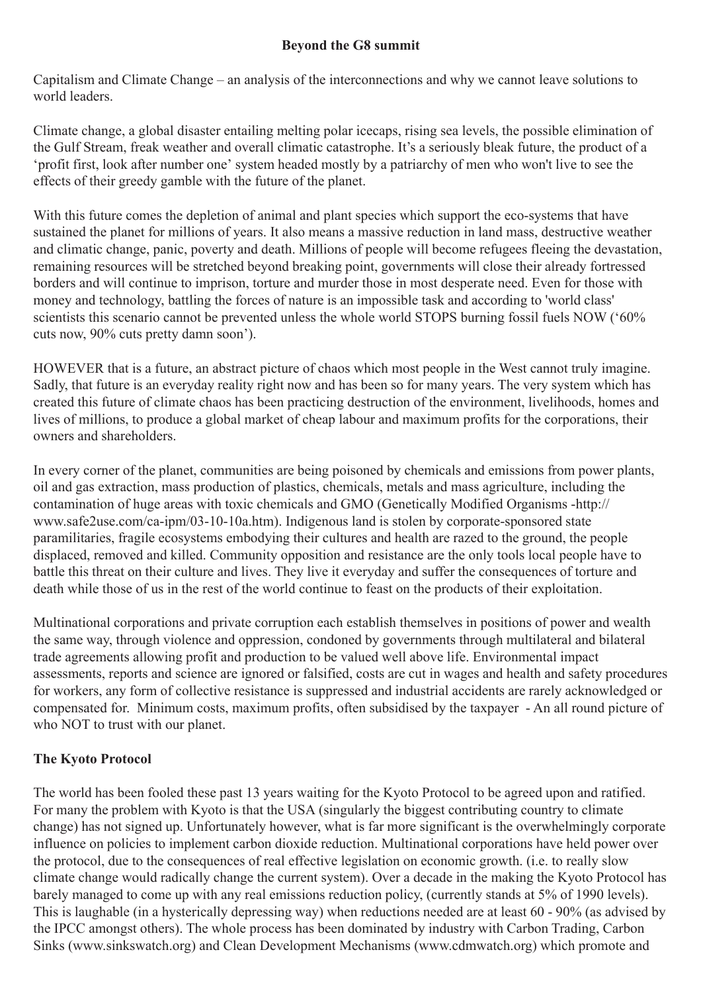## Beyond the G8 summit

Capitalism and Climate Change – an analysis of the interconnections and why we cannot leave solutions to world leaders.

Climate change, a global disaster entailing melting polar icecaps, rising sea levels, the possible elimination of the Gulf Stream, freak weather and overall climatic catastrophe. It's a seriously bleak future, the product of a 'profit first, look after number one' system headed mostly by a patriarchy of men who won't live to see the effects of their greedy gamble with the future of the planet.

With this future comes the depletion of animal and plant species which support the eco-systems that have sustained the planet for millions of years. It also means a massive reduction in land mass, destructive weather and climatic change, panic, poverty and death. Millions of people will become refugees fleeing the devastation, remaining resources will be stretched beyond breaking point, governments will close their already fortressed borders and will continue to imprison, torture and murder those in most desperate need. Even for those with money and technology, battling the forces of nature is an impossible task and according to 'world class' scientists this scenario cannot be prevented unless the whole world STOPS burning fossil fuels NOW ('60%) cuts now, 90% cuts pretty damn soon').

HOWEVER that is a future, an abstract picture of chaos which most people in the West cannot truly imagine. Sadly, that future is an everyday reality right now and has been so for many years. The very system which has created this future of climate chaos has been practicing destruction of the environment, livelihoods, homes and lives of millions, to produce a global market of cheap labour and maximum profits for the corporations, their owners and shareholders.

In every corner of the planet, communities are being poisoned by chemicals and emissions from power plants, oil and gas extraction, mass production of plastics, chemicals, metals and mass agriculture, including the contamination of huge areas with toxic chemicals and GMO (Genetically Modified Organisms -http:// www.safe2use.com/ca-ipm/03-10-10a.htm). Indigenous land is stolen by corporate-sponsored state paramilitaries, fragile ecosystems embodying their cultures and health are razed to the ground, the people displaced, removed and killed. Community opposition and resistance are the only tools local people have to battle this threat on their culture and lives. They live it everyday and suffer the consequences of torture and death while those of us in the rest of the world continue to feast on the products of their exploitation.

Multinational corporations and private corruption each establish themselves in positions of power and wealth the same way, through violence and oppression, condoned by governments through multilateral and bilateral trade agreements allowing profit and production to be valued well above life. Environmental impact assessments, reports and science are ignored or falsified, costs are cut in wages and health and safety procedures for workers, any form of collective resistance is suppressed and industrial accidents are rarely acknowledged or compensated for. Minimum costs, maximum profits, often subsidised by the taxpayer - An all round picture of who NOT to trust with our planet.

## The Kyoto Protocol

The world has been fooled these past 13 years waiting for the Kyoto Protocol to be agreed upon and ratified. For many the problem with Kyoto is that the USA (singularly the biggest contributing country to climate change) has not signed up. Unfortunately however, what is far more significant is the overwhelmingly corporate influence on policies to implement carbon dioxide reduction. Multinational corporations have held power over the protocol, due to the consequences of real effective legislation on economic growth. (i.e. to really slow climate change would radically change the current system). Over a decade in the making the Kyoto Protocol has barely managed to come up with any real emissions reduction policy, (currently stands at 5% of 1990 levels). This is laughable (in a hysterically depressing way) when reductions needed are at least 60 - 90% (as advised by the IPCC amongst others). The whole process has been dominated by industry with Carbon Trading, Carbon Sinks (www.sinkswatch.org) and Clean Development Mechanisms (www.cdmwatch.org) which promote and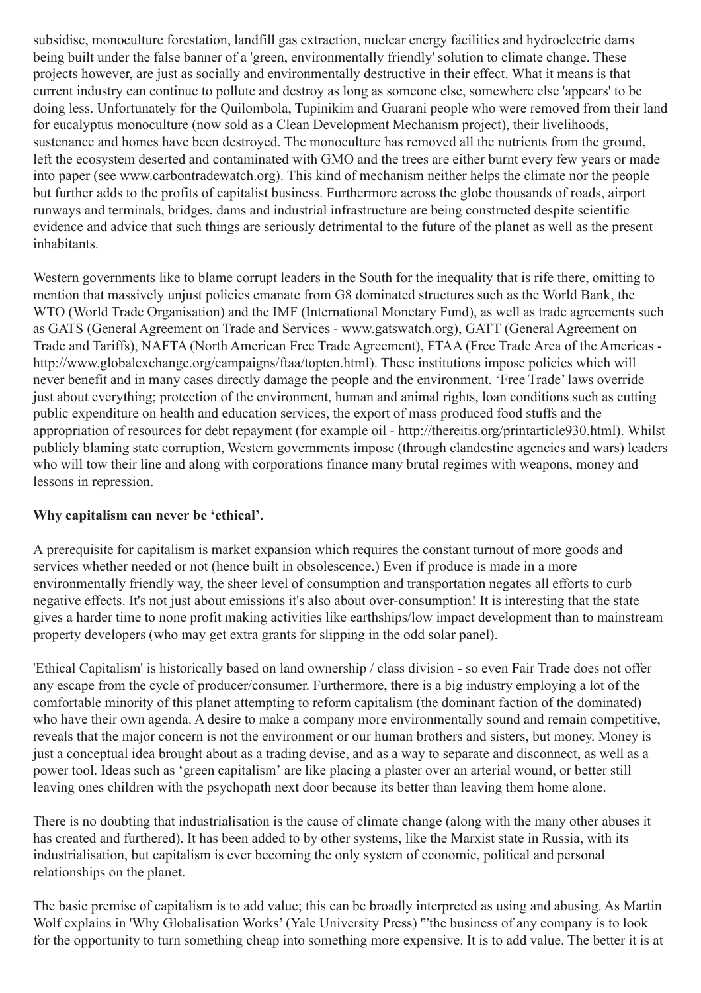subsidise, monoculture forestation, landfill gas extraction, nuclear energy facilities and hydroelectric dams being built under the false banner of a 'green, environmentally friendly' solution to climate change. These projects however, are just as socially and environmentally destructive in their effect. What it means is that current industry can continue to pollute and destroy as long as someone else, somewhere else 'appears' to be doing less. Unfortunately for the Quilombola, Tupinikim and Guarani people who were removed from their land for eucalyptus monoculture (now sold as a Clean Development Mechanism project), their livelihoods, sustenance and homes have been destroyed. The monoculture has removed all the nutrients from the ground, left the ecosystem deserted and contaminated with GMO and the trees are either burnt every few years or made into paper (see www.carbontradewatch.org). This kind of mechanism neither helps the climate nor the people but further adds to the profits of capitalist business. Furthermore across the globe thousands of roads, airport runways and terminals, bridges, dams and industrial infrastructure are being constructed despite scientific evidence and advice that such things are seriously detrimental to the future of the planet as well as the present inhabitants.

Western governments like to blame corrupt leaders in the South for the inequality that is rife there, omitting to mention that massively unjust policies emanate from G8 dominated structures such as the World Bank, the WTO (World Trade Organisation) and the IMF (International Monetary Fund), as well as trade agreements such as GATS (General Agreement on Trade and Services - www.gatswatch.org), GATT (General Agreement on Trade and Tariffs), NAFTA (North American Free Trade Agreement), FTAA (Free Trade Area of the Americas http://www.globalexchange.org/campaigns/ftaa/topten.html). These institutions impose policies which will never benefit and in many cases directly damage the people and the environment. 'Free Trade' laws override just about everything; protection of the environment, human and animal rights, loan conditions such as cutting public expenditure on health and education services, the export of mass produced food stuffs and the appropriation of resources for debt repayment (for example oil - http://thereitis.org/printarticle930.html). Whilst publicly blaming state corruption, Western governments impose (through clandestine agencies and wars) leaders who will tow their line and along with corporations finance many brutal regimes with weapons, money and lessons in repression.

## Why capitalism can never be 'ethical'.

A prerequisite for capitalism is market expansion which requires the constant turnout of more goods and services whether needed or not (hence built in obsolescence.) Even if produce is made in a more environmentally friendly way, the sheer level of consumption and transportation negates all efforts to curb negative effects. It's not just about emissions it's also about over-consumption! It is interesting that the state gives a harder time to none profit making activities like earthships/low impact development than to mainstream property developers (who may get extra grants for slipping in the odd solar panel).

'Ethical Capitalism' is historically based on land ownership / class division - so even Fair Trade does not offer any escape from the cycle of producer/consumer. Furthermore, there is a big industry employing a lot of the comfortable minority of this planet attempting to reform capitalism (the dominant faction of the dominated) who have their own agenda. A desire to make a company more environmentally sound and remain competitive, reveals that the major concern is not the environment or our human brothers and sisters, but money. Money is just a conceptual idea brought about as a trading devise, and as a way to separate and disconnect, as well as a power tool. Ideas such as 'green capitalism' are like placing a plaster over an arterial wound, or better still leaving ones children with the psychopath next door because its better than leaving them home alone.

There is no doubting that industrialisation is the cause of climate change (along with the many other abuses it has created and furthered). It has been added to by other systems, like the Marxist state in Russia, with its industrialisation, but capitalism is ever becoming the only system of economic, political and personal relationships on the planet.

The basic premise of capitalism is to add value; this can be broadly interpreted as using and abusing. As Martin Wolf explains in 'Why Globalisation Works' (Yale University Press) '"the business of any company is to look for the opportunity to turn something cheap into something more expensive. It is to add value. The better it is at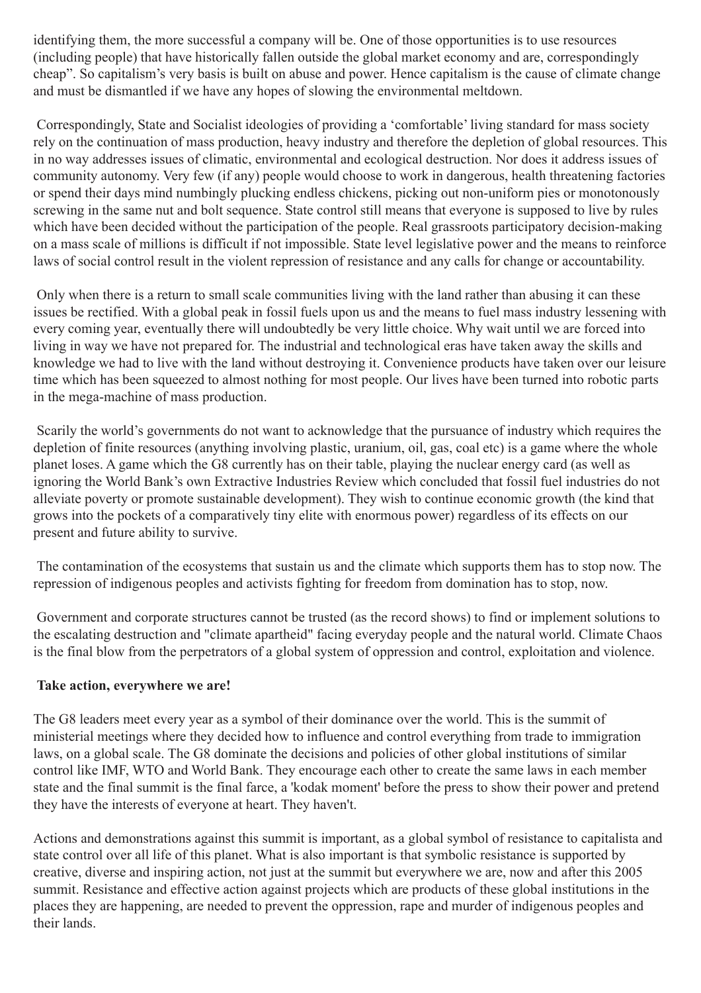identifying them, the more successful a company will be. One of those opportunities is to use resources (including people) that have historically fallen outside the global market economy and are, correspondingly cheap". So capitalism's very basis is built on abuse and power. Hence capitalism is the cause of climate change and must be dismantled if we have any hopes of slowing the environmental meltdown.

 Correspondingly, State and Socialist ideologies of providing a 'comfortable' living standard for mass society rely on the continuation of mass production, heavy industry and therefore the depletion of global resources. This in no way addresses issues of climatic, environmental and ecological destruction. Nor does it address issues of community autonomy. Very few (if any) people would choose to work in dangerous, health threatening factories or spend their days mind numbingly plucking endless chickens, picking out non-uniform pies or monotonously screwing in the same nut and bolt sequence. State control still means that everyone is supposed to live by rules which have been decided without the participation of the people. Real grassroots participatory decision-making on a mass scale of millions is difficult if not impossible. State level legislative power and the means to reinforce laws of social control result in the violent repression of resistance and any calls for change or accountability.

 Only when there is a return to small scale communities living with the land rather than abusing it can these issues be rectified. With a global peak in fossil fuels upon us and the means to fuel mass industry lessening with every coming year, eventually there will undoubtedly be very little choice. Why wait until we are forced into living in way we have not prepared for. The industrial and technological eras have taken away the skills and knowledge we had to live with the land without destroying it. Convenience products have taken over our leisure time which has been squeezed to almost nothing for most people. Our lives have been turned into robotic parts in the mega-machine of mass production.

 Scarily the world's governments do not want to acknowledge that the pursuance of industry which requires the depletion of finite resources (anything involving plastic, uranium, oil, gas, coal etc) is a game where the whole planet loses. A game which the G8 currently has on their table, playing the nuclear energy card (as well as ignoring the World Bank's own Extractive Industries Review which concluded that fossil fuel industries do not alleviate poverty or promote sustainable development). They wish to continue economic growth (the kind that grows into the pockets of a comparatively tiny elite with enormous power) regardless of its effects on our present and future ability to survive.

The contamination of the ecosystems that sustain us and the climate which supports them has to stop now. The repression of indigenous peoples and activists fighting for freedom from domination has to stop, now.

 Government and corporate structures cannot be trusted (as the record shows) to find or implement solutions to the escalating destruction and "climate apartheid" facing everyday people and the natural world. Climate Chaos is the final blow from the perpetrators of a global system of oppression and control, exploitation and violence.

## Take action, everywhere we are!

The G8 leaders meet every year as a symbol of their dominance over the world. This is the summit of ministerial meetings where they decided how to influence and control everything from trade to immigration laws, on a global scale. The G8 dominate the decisions and policies of other global institutions of similar control like IMF, WTO and World Bank. They encourage each other to create the same laws in each member state and the final summit is the final farce, a 'kodak moment' before the press to show their power and pretend they have the interests of everyone at heart. They haven't.

Actions and demonstrations against this summit is important, as a global symbol of resistance to capitalista and state control over all life of this planet. What is also important is that symbolic resistance is supported by creative, diverse and inspiring action, not just at the summit but everywhere we are, now and after this 2005 summit. Resistance and effective action against projects which are products of these global institutions in the places they are happening, are needed to prevent the oppression, rape and murder of indigenous peoples and their lands.